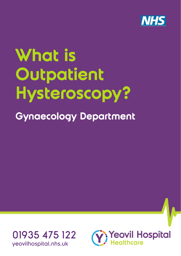

# **What is Outpatient Hysteroscopy?**





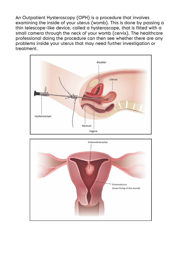An Outpatient Hysteroscopy (OPH) is a procedure that involves examining the inside of your uterus (womb). This is done by passing a thin telescope-like device, called a hysteroscope, that is fitted with a small camera through the neck of your womb (cervix). The healthcare professional doing the procedure can then see whether there are any problems inside your uterus that may need further investigation or treatment.



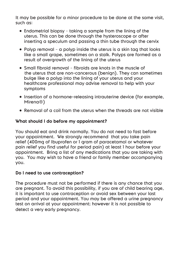It may be possible for a minor procedure to be done at the same visit, such as:

- Endometrial biopsy taking a sample from the lining of the uterus. This can be done through the hysteroscope or after inserting a speculum and passing a thin tube through the cervix
- Polyp removal a polyp inside the uterus is a skin tag that looks like a small grape, sometimes on a stalk. Polyps are formed as a result of overgrowth of the lining of the uterus
- Small fibroid removal fibroids are knots in the muscle of the uterus that are non-cancerous (benign). They can sometimes bulge like a polyp into the lining of your uterus and your healthcare professional may advise removal to help with your symptoms
- Insertion of a hormone-releasing intrauterine device (for example, Mirena®)
- Removal of a coil from the uterus when the threads are not visible

# **What should I do before my appointment?**

You should eat and drink normally. You do not need to fast before your appointment. We strongly recommend that you take pain relief (400mg of Ibuprofen or 1 gram of paracetamol or whatever pain relief you find useful for period pain) at least 1 hour before your appointment. Bring a list of any medications that you are taking with you. You may wish to have a friend or family member accompanying you.

## **Do I need to use contraception?**

The procedure must not be performed if there is any chance that you are pregnant. To avoid this possibility, if you are of child bearing age, it is important to use contraception or avoid sex between your last period and your appointment. You may be offered a urine pregnancy test on arrival at your appointment; however it is not possible to detect a very early pregnancy.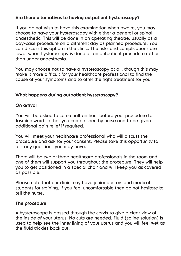# **Are there alternatives to having outpatient hysteroscopy?**

If you do not wish to have this examination when awake, you may choose to have your hysteroscopy with either a general or spinal anaesthetic. This will be done in an operating theatre, usually as a day-case procedure on a different day as planned procedure. You can discuss this option in the clinic. The risks and complications are lower when hysteroscopy is done as an outpatient procedure rather than under anaesthesia.

You may choose not to have a hysteroscopy at all, though this may make it more difficult for your healthcare professional to find the cause of your symptoms and to offer the right treatment for you.

# **What happens during outpatient hysteroscopy?**

## **On arrival**

You will be asked to come half an hour before your procedure to Jasmine ward so that you can be seen by nurse and to be given additional pain relief if required.

You will meet your healthcare professional who will discuss the procedure and ask for your consent. Please take this opportunity to ask any questions you may have.

There will be two or three healthcare professionals in the room and one of them will support you throughout the procedure. They will help you to get positioned in a special chair and will keep you as covered as possible.

Please note that our clinic may have junior doctors and medical students for training, if you feel uncomfortable then do not hesitate to tell the nurse.

## **The procedure**

A hysteroscope is passed through the cervix to give a clear view of the inside of your uterus. No cuts are needed. Fluid (saline solution) is used to help see the inner lining of your uterus and you will feel wet as the fluid trickles back out.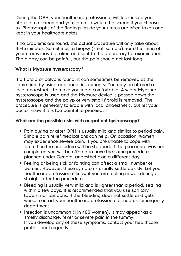During the OPH, your healthcare professional will look inside your uterus on a screen and you can also watch the screen if you choose to. Photographs of the findings inside your uterus are often taken and kept in your healthcare notes.

If no problems are found, the actual procedure will only take about 10–15 minutes. Sometimes, a biopsy (small sample) from the lining of your uterus may be taken and sent to the laboratory for examination. The biopsy can be painful, but the pain should not last long.

## **What is Myosure hysteroscopy?**

If a fibroid or polyp is found, it can sometimes be removed at the same time by using additional instruments. You may be offered a local anaesthetic to make you more comfortable. A wider Myosure hysteroscope is used and the Myosure device is passed down the hysteroscope and the polyp or very small fibroid is removed. The procedure is generally tolerable with local anaesthetic, but let your doctor know if it is too painful to proceed.

## **What are the possible risks with outpatient hysteroscopy?**

- Pain during or after OPH is usually mild and similar to period pain. Simple pain relief medications can help. On occasion, women may experience severe pain. If you are unable to cope with pain then the procedure will be stopped. If the procedure was not completed you will be offered to have the same procedure planned under General anaesthetic on a different day
- Feeling or being sick or fainting can affect a small number of women. However, these symptoms usually settle quickly. Let your healthcare professional know if you are feeling unwell during or straight after the procedure
- Bleeding is usually very mild and is lighter than a period, settling within a few days. It is recommended that you use sanitary towels, not tampons. If the bleeding does not settle and gets worse, contact your healthcare professional or nearest emergency department
- Infection is uncommon (1 in 400 women). It may appear as a smelly discharge, fever or severe pain in the tummy. If you develop any of these symptoms, contact your healthcare professional urgently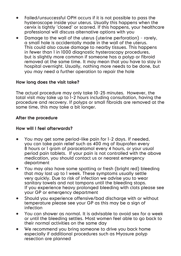- Failed/unsuccessful OPH occurs if it is not possible to pass the hysteroscope inside your uterus. Usually this happens when the cervix is tightly 'closed' or scarred. If this happens, your healthcare professional will discuss alternative options with you
- Damage to the wall of the uterus (uterine perforation) rarely, a small hole is accidentally made in the wall of the uterus. This could also cause damage to nearby tissues. This happens in fewer than I in 1000 diagnostic hysteroscopy procedures, but is slightly more common if someone has a polyp or fibroid removed at the same time. It may mean that you have to stay in hospital overnight. Usually, nothing more needs to be done, but you may need a further operation to repair the hole

#### **How long does the visit take?**

The actual procedure may only take 10–25 minutes. However, the total visit may take up to 1-2 hours including consultation, having the procedure and recovery. If polyps or small fibroids are removed at the same time, this may take a bit longer.

#### **After the procedure**

#### **How will I feel afterwards?**

- You may get some period-like pain for 1–2 days. If needed, you can take pain relief such as 400 mg of ibuprofen every period pain tablets. If your pain is not controlled with the above medication, you should contact us or nearest emergency department
- You may also have some spotting or fresh (bright red) bleeding that may last up to 1 week. These symptoms usually settle sanitary towels and not tampons until the bleeding stops. If you experience heavy prolonged bleeding with clots please see your GP or emergency department
- Should you experience offensive/bad discharge with or without temperature please see your GP as this may be a sign of infection
- You can shower as normal. It is advisable to avoid sex for a week or until the bleeding settles. Most women feel able to go back to their normal activities on the same day
- We recommend you bring someone to drive you back home especially if additional procedures such as Myosure polyp resection are planned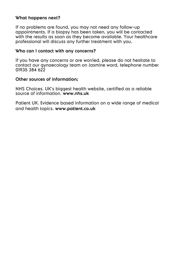#### **What happens next?**

If no problems are found, you may not need any follow-up appointments. If a biopsy has been taken, you will be contacted with the results as soon as they become available. Your healthcare professional will discuss any further treatment with you.

#### **Who can I contact with any concerns?**

If you have any concerns or are worried, please do not hesitate to contact our gynaecology team on Jasmine ward, telephone number 01935 384 622

#### **Other sources of information;**

NHS Choices. UK's biggest health website, certified as a reliable source of information. **www.nhs.uk**

Patient UK. Evidence based information on a wide range of medical and health topics. **www.patient.co.uk**